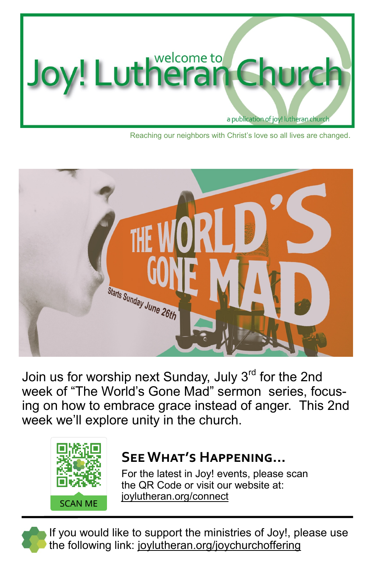

Reaching our neighbors with Christ's love so all lives are changed.



Join us for worship next Sunday, July 3<sup>rd</sup> for the 2nd week of "The World's Gone Mad" sermon series, focusing on how to embrace grace instead of anger. This 2nd week we'll explore unity in the church.



## **See What's Happening...**

For the latest in Joy! events, please scan the QR Code or visit our website at: joylutheran.org/connect

If you would like to support the ministries of Joy!, please use the following link: joylutheran.org[/joychurchoffering](http://tinyurl.com/joychurchoffering)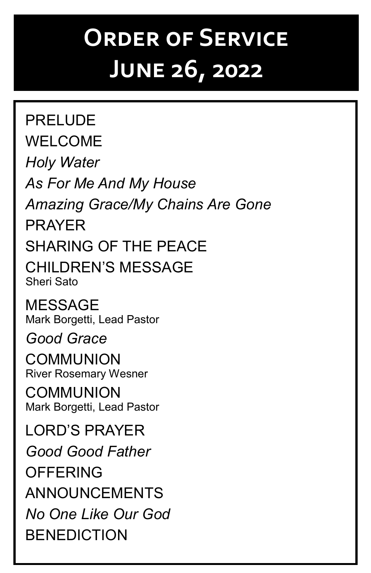## **Order of Service June 26, 2022**

PRELUDE WELCOME *Holy Water As For Me And My House Amazing Grace/My Chains Are Gone* PRAYER SHARING OF THE PEACE CHILDREN'S MESSAGE Sheri Sato MESSAGE Mark Borgetti, Lead Pastor *Good Grace* **COMMUNION** River Rosemary Wesner COMMUNION Mark Borgetti, Lead Pastor LORD'S PRAYER *Good Good Father* **OFFFRING** ANNOUNCEMENTS *No One Like Our God* **BENEDICTION**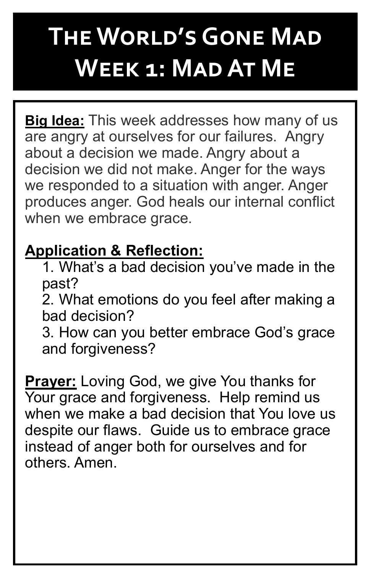## **The World's Gone Mad Week 1: Mad At Me**

**Big Idea:** This week addresses how many of us are angry at ourselves for our failures. Angry about a decision we made. Angry about a decision we did not make. Anger for the ways we responded to a situation with anger. Anger produces anger. God heals our internal conflict when we embrace grace.

## **Application & Reflection:**

1. What's a bad decision you've made in the past?

2. What emotions do you feel after making a bad decision?

3. How can you better embrace God's grace and forgiveness?

**Prayer:** Loving God, we give You thanks for Your grace and forgiveness. Help remind us when we make a bad decision that You love us despite our flaws. Guide us to embrace grace instead of anger both for ourselves and for others. Amen.